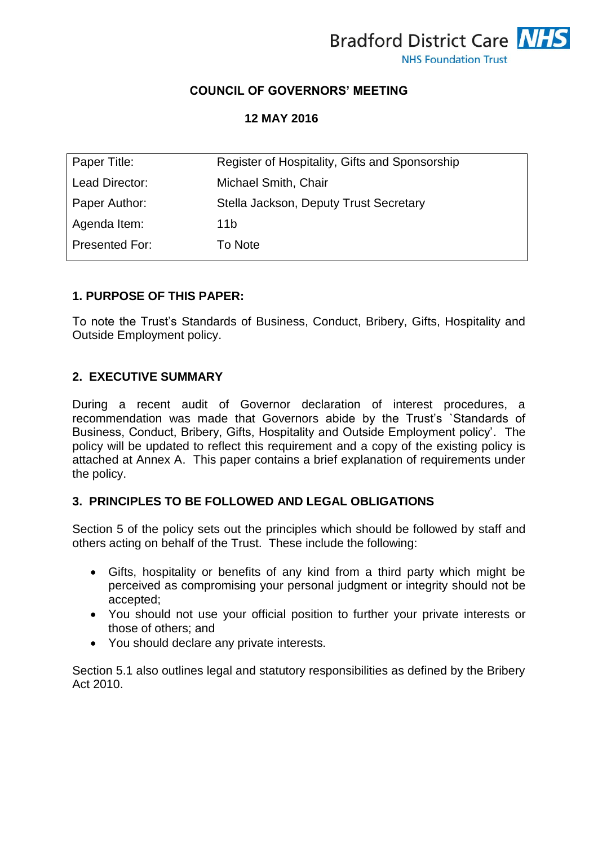

## **COUNCIL OF GOVERNORS' MEETING**

### **12 MAY 2016**

| Paper Title:   | Register of Hospitality, Gifts and Sponsorship |
|----------------|------------------------------------------------|
| Lead Director: | Michael Smith, Chair                           |
| Paper Author:  | Stella Jackson, Deputy Trust Secretary         |
| Agenda Item:   | 11b                                            |
| Presented For: | To Note                                        |

### **1. PURPOSE OF THIS PAPER:**

To note the Trust's Standards of Business, Conduct, Bribery, Gifts, Hospitality and Outside Employment policy.

#### **2. EXECUTIVE SUMMARY**

During a recent audit of Governor declaration of interest procedures, a recommendation was made that Governors abide by the Trust's `Standards of Business, Conduct, Bribery, Gifts, Hospitality and Outside Employment policy'. The policy will be updated to reflect this requirement and a copy of the existing policy is attached at Annex A. This paper contains a brief explanation of requirements under the policy.

### **3. PRINCIPLES TO BE FOLLOWED AND LEGAL OBLIGATIONS**

Section 5 of the policy sets out the principles which should be followed by staff and others acting on behalf of the Trust. These include the following:

- Gifts, hospitality or benefits of any kind from a third party which might be perceived as compromising your personal judgment or integrity should not be accepted;
- You should not use your official position to further your private interests or those of others; and
- You should declare any private interests.

Section 5.1 also outlines legal and statutory responsibilities as defined by the Bribery Act 2010.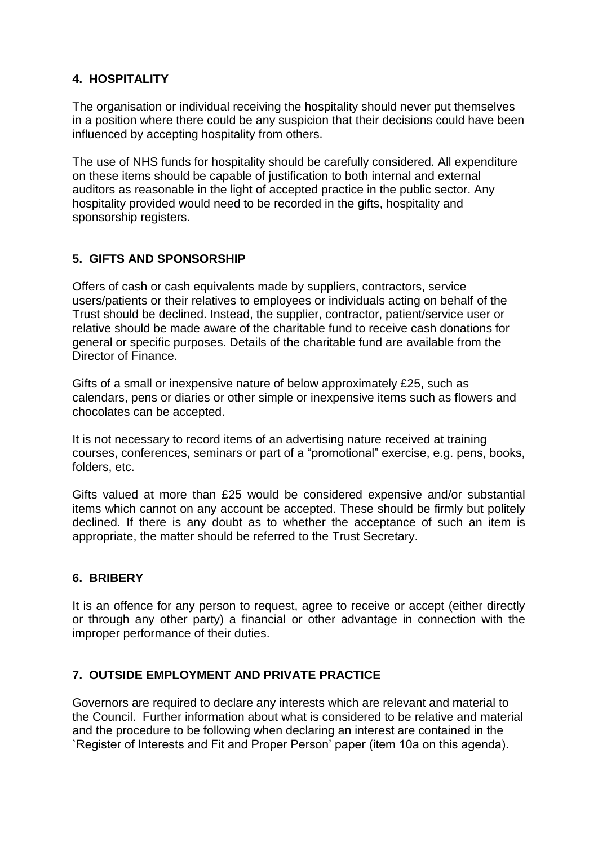## **4. HOSPITALITY**

The organisation or individual receiving the hospitality should never put themselves in a position where there could be any suspicion that their decisions could have been influenced by accepting hospitality from others.

The use of NHS funds for hospitality should be carefully considered. All expenditure on these items should be capable of justification to both internal and external auditors as reasonable in the light of accepted practice in the public sector. Any hospitality provided would need to be recorded in the gifts, hospitality and sponsorship registers.

## **5. GIFTS AND SPONSORSHIP**

Offers of cash or cash equivalents made by suppliers, contractors, service users/patients or their relatives to employees or individuals acting on behalf of the Trust should be declined. Instead, the supplier, contractor, patient/service user or relative should be made aware of the charitable fund to receive cash donations for general or specific purposes. Details of the charitable fund are available from the Director of Finance.

Gifts of a small or inexpensive nature of below approximately £25, such as calendars, pens or diaries or other simple or inexpensive items such as flowers and chocolates can be accepted.

It is not necessary to record items of an advertising nature received at training courses, conferences, seminars or part of a "promotional" exercise, e.g. pens, books, folders, etc.

Gifts valued at more than £25 would be considered expensive and/or substantial items which cannot on any account be accepted. These should be firmly but politely declined. If there is any doubt as to whether the acceptance of such an item is appropriate, the matter should be referred to the Trust Secretary.

## **6. BRIBERY**

It is an offence for any person to request, agree to receive or accept (either directly or through any other party) a financial or other advantage in connection with the improper performance of their duties.

## **7. OUTSIDE EMPLOYMENT AND PRIVATE PRACTICE**

Governors are required to declare any interests which are relevant and material to the Council. Further information about what is considered to be relative and material and the procedure to be following when declaring an interest are contained in the `Register of Interests and Fit and Proper Person' paper (item 10a on this agenda).